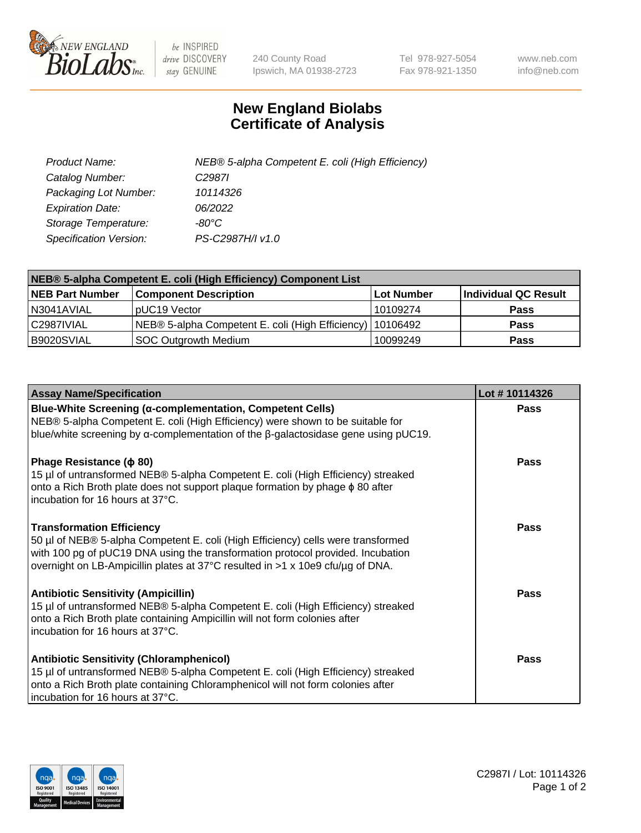

 $be$  INSPIRED drive DISCOVERY stay GENUINE

240 County Road Ipswich, MA 01938-2723 Tel 978-927-5054 Fax 978-921-1350 www.neb.com info@neb.com

## **New England Biolabs Certificate of Analysis**

| Product Name:           | NEB® 5-alpha Competent E. coli (High Efficiency) |
|-------------------------|--------------------------------------------------|
| Catalog Number:         | C <sub>2987</sub>                                |
| Packaging Lot Number:   | 10114326                                         |
| <b>Expiration Date:</b> | 06/2022                                          |
| Storage Temperature:    | -80°C                                            |
| Specification Version:  | PS-C2987H/I v1.0                                 |

| NEB® 5-alpha Competent E. coli (High Efficiency) Component List |                                                             |            |                      |  |
|-----------------------------------------------------------------|-------------------------------------------------------------|------------|----------------------|--|
| <b>NEB Part Number</b>                                          | <b>Component Description</b>                                | Lot Number | Individual QC Result |  |
| N3041AVIAL                                                      | pUC19 Vector                                                | 10109274   | <b>Pass</b>          |  |
| C2987IVIAL                                                      | NEB® 5-alpha Competent E. coli (High Efficiency)   10106492 |            | <b>Pass</b>          |  |
| B9020SVIAL                                                      | SOC Outgrowth Medium                                        | 10099249   | <b>Pass</b>          |  |

| <b>Assay Name/Specification</b>                                                                                                                                                                                                                                                           | Lot #10114326 |
|-------------------------------------------------------------------------------------------------------------------------------------------------------------------------------------------------------------------------------------------------------------------------------------------|---------------|
| <b>Blue-White Screening (α-complementation, Competent Cells)</b><br>NEB® 5-alpha Competent E. coli (High Efficiency) were shown to be suitable for<br>blue/white screening by $\alpha$ -complementation of the $\beta$ -galactosidase gene using pUC19.                                   | Pass          |
| Phage Resistance ( $\phi$ 80)<br>15 µl of untransformed NEB® 5-alpha Competent E. coli (High Efficiency) streaked<br>onto a Rich Broth plate does not support plaque formation by phage φ 80 after<br>incubation for 16 hours at 37°C.                                                    | <b>Pass</b>   |
| <b>Transformation Efficiency</b><br>50 µl of NEB® 5-alpha Competent E. coli (High Efficiency) cells were transformed<br>with 100 pg of pUC19 DNA using the transformation protocol provided. Incubation<br>overnight on LB-Ampicillin plates at 37°C resulted in >1 x 10e9 cfu/µg of DNA. | Pass          |
| <b>Antibiotic Sensitivity (Ampicillin)</b><br>15 µl of untransformed NEB® 5-alpha Competent E. coli (High Efficiency) streaked<br>onto a Rich Broth plate containing Ampicillin will not form colonies after<br>incubation for 16 hours at 37°C.                                          | Pass          |
| <b>Antibiotic Sensitivity (Chloramphenicol)</b><br>15 µl of untransformed NEB® 5-alpha Competent E. coli (High Efficiency) streaked<br>onto a Rich Broth plate containing Chloramphenicol will not form colonies after<br>incubation for 16 hours at 37°C.                                | Pass          |